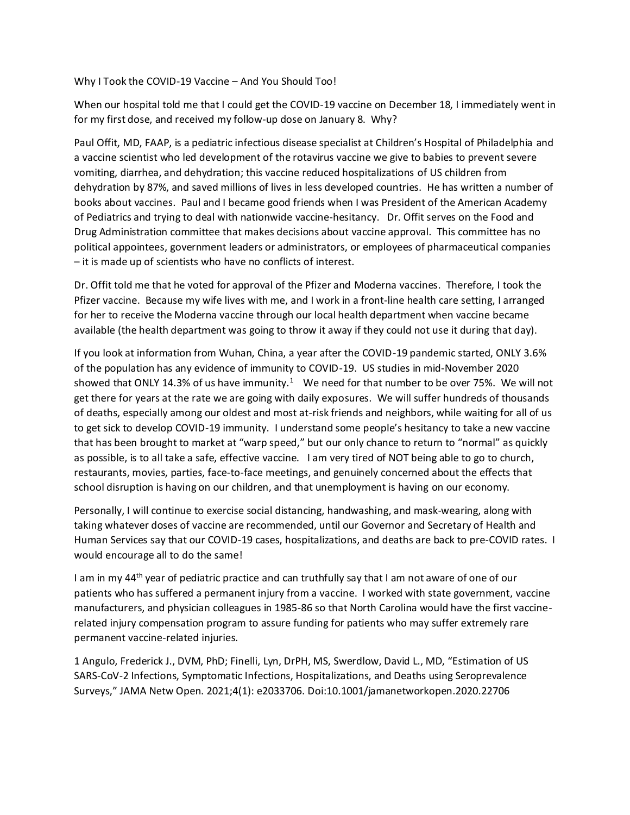Why I Took the COVID-19 Vaccine – And You Should Too!

When our hospital told me that I could get the COVID-19 vaccine on December 18, I immediately went in for my first dose, and received my follow-up dose on January 8. Why?

Paul Offit, MD, FAAP, is a pediatric infectious disease specialist at Children's Hospital of Philadelphia and a vaccine scientist who led development of the rotavirus vaccine we give to babies to prevent severe vomiting, diarrhea, and dehydration; this vaccine reduced hospitalizations of US children from dehydration by 87%, and saved millions of lives in less developed countries. He has written a number of books about vaccines. Paul and I became good friends when I was President of the American Academy of Pediatrics and trying to deal with nationwide vaccine-hesitancy. Dr. Offit serves on the Food and Drug Administration committee that makes decisions about vaccine approval. This committee has no political appointees, government leaders or administrators, or employees of pharmaceutical companies – it is made up of scientists who have no conflicts of interest.

Dr. Offit told me that he voted for approval of the Pfizer and Moderna vaccines. Therefore, I took the Pfizer vaccine. Because my wife lives with me, and I work in a front-line health care setting, I arranged for her to receive the Moderna vaccine through our local health department when vaccine became available (the health department was going to throw it away if they could not use it during that day).

If you look at information from Wuhan, China, a year after the COVID-19 pandemic started, ONLY 3.6% of the population has any evidence of immunity to COVID-19. US studies in mid-November 2020 showed that ONLY 14.3% of us have immunity.<sup>1</sup> We need for that number to be over 75%. We will not get there for years at the rate we are going with daily exposures. We will suffer hundreds of thousands of deaths, especially among our oldest and most at-risk friends and neighbors, while waiting for all of us to get sick to develop COVID-19 immunity. I understand some people's hesitancy to take a new vaccine that has been brought to market at "warp speed," but our only chance to return to "normal" as quickly as possible, is to all take a safe, effective vaccine. I am very tired of NOT being able to go to church, restaurants, movies, parties, face-to-face meetings, and genuinely concerned about the effects that school disruption is having on our children, and that unemployment is having on our economy.

Personally, I will continue to exercise social distancing, handwashing, and mask-wearing, along with taking whatever doses of vaccine are recommended, until our Governor and Secretary of Health and Human Services say that our COVID-19 cases, hospitalizations, and deaths are back to pre-COVID rates. I would encourage all to do the same!

I am in my 44<sup>th</sup> year of pediatric practice and can truthfully say that I am not aware of one of our patients who has suffered a permanent injury from a vaccine. I worked with state government, vaccine manufacturers, and physician colleagues in 1985-86 so that North Carolina would have the first vaccinerelated injury compensation program to assure funding for patients who may suffer extremely rare permanent vaccine-related injuries.

1 Angulo, Frederick J., DVM, PhD; Finelli, Lyn, DrPH, MS, Swerdlow, David L., MD, "Estimation of US SARS-CoV-2 Infections, Symptomatic Infections, Hospitalizations, and Deaths using Seroprevalence Surveys," JAMA Netw Open. 2021;4(1): e2033706. Doi:10.1001/jamanetworkopen.2020.22706